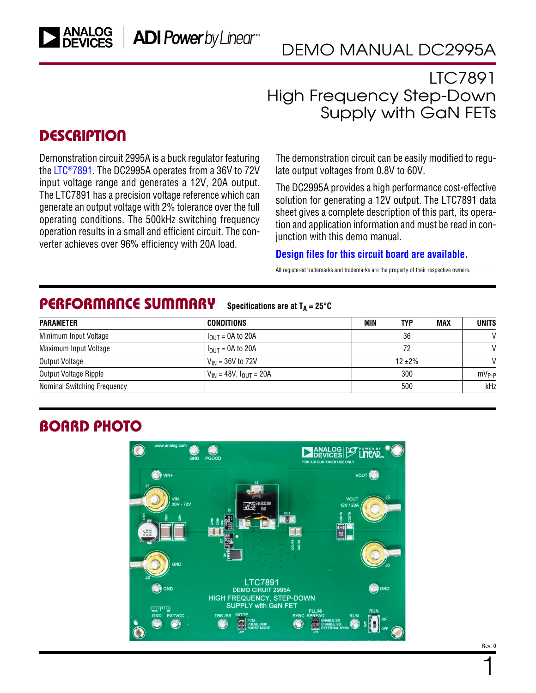### LTC7891 High Frequency Step-Down Supply with GaN FETs

### **DESCRIPTION**

Demonstration circuit 2995A is a buck regulator featuring the [LTC®7891.](https://www.analog.com/LTC7891?doc=DC2995A.pdf) The DC2995A operates from a 36V to 72V input voltage range and generates a 12V, 20A output. The LTC7891 has a precision voltage reference which can generate an output voltage with 2% tolerance over the full operating conditions. The 500kHz switching frequency operation results in a small and efficient circuit. The converter achieves over 96% efficiency with 20A load.

The demonstration circuit can be easily modified to regulate output voltages from 0.8V to 60V.

The DC2995A provides a high performance cost-effective solution for generating a 12V output. The LTC7891 data sheet gives a complete description of this part, its operation and application information and must be read in conjunction with this demo manual.

#### **[Design files for this circuit board are available](https://www.analog.com/en/design-center/evaluation-hardware-and-software/evaluation-boards-kits/DC2995A.html#eb-documentation?doc=DC2995A.pdf).**

All registered trademarks and trademarks are the property of their respective owners.

#### PERFORMANCE SUMMARY **Specifications are at**  $T_A = 25^\circ C$

| <b>PARAMETER</b>            | <b>CONDITIONS</b>                | MIN | TYP        | <b>MAX</b> | <b>UNITS</b>  |  |
|-----------------------------|----------------------------------|-----|------------|------------|---------------|--|
| Minimum Input Voltage       | $I_{\text{OUT}}$ = 0A to 20A     |     | 36         |            | $\mathsf{V}$  |  |
| Maximum Input Voltage       | $IOIII = 0A$ to 20A              |     | 72         |            |               |  |
| Output Voltage              | $V_{IN}$ = 36V to 72V            |     | $12 + 2\%$ |            | $\mathcal{U}$ |  |
| Output Voltage Ripple       | $V_{IN}$ = 48V, $I_{OUIT}$ = 20A |     | 300        |            |               |  |
| Nominal Switching Frequency |                                  |     | 500        |            | kHz           |  |

## BOARD PHOTO



1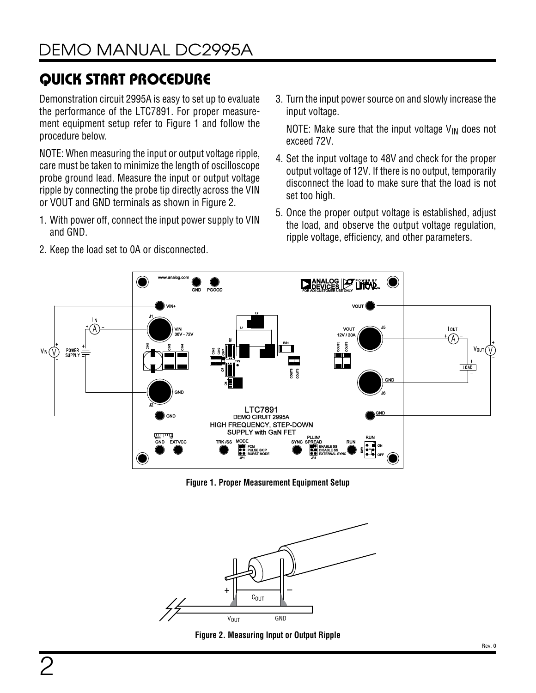# QUICK START PROCEDURE

Demonstration circuit 2995A is easy to set up to evaluate the performance of the LTC7891. For proper measurement equipment setup refer to [Figure 1](#page-1-0) and follow the procedure below.

NOTE: When measuring the input or output voltage ripple, care must be taken to minimize the length of oscilloscope probe ground lead. Measure the input or output voltage ripple by connecting the probe tip directly across the VIN or VOUT and GND terminals as shown in [Figure 2.](#page-1-1)

1. With power off, connect the input power supply to VIN and GND.

2. Keep the load set to 0A or disconnected.

3. Turn the input power source on and slowly increase the input voltage.

NOTE: Make sure that the input voltage  $V_{IN}$  does not exceed 72V.

- 4. Set the input voltage to 48V and check for the proper output voltage of 12V. If there is no output, temporarily disconnect the load to make sure that the load is not set too high.
- 5. Once the proper output voltage is established, adjust the load, and observe the output voltage regulation, ripple voltage, efficiency, and other parameters.



<span id="page-1-0"></span>**Figure 1. Proper Measurement Equipment Setup**



<span id="page-1-1"></span>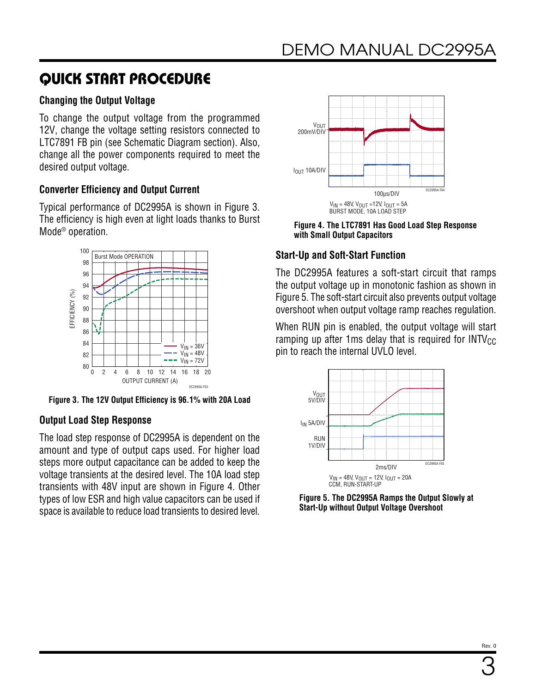## QUICK START PROCEDURE

### **Changing the Output Voltage**

To change the output voltage from the programmed 12V, change the voltage setting resistors connected to LTC7891 FB pin (see [Schematic Diagram](#page-6-0) section). Also, change all the power components required to meet the desired output voltage.

### **Converter Efficiency and Output Current**

Typical performance of DC2995A is shown in [Figure 3](#page-2-0). The efficiency is high even at light loads thanks to Burst Mode® operation.



<span id="page-2-0"></span>**Figure 3. The 12V Output Efficiency is 96.1% with 20A Load**

### **Output Load Step Response**

The load step response of DC2995A is dependent on the amount and type of output caps used. For higher load steps more output capacitance can be added to keep the voltage transients at the desired level. The 10A load step transients with 48V input are shown in [Figure 4.](#page-2-1) Other types of low ESR and high value capacitors can be used if space is available to reduce load transients to desired level.



<span id="page-2-1"></span>**Figure 4. The LTC7891 Has Good Load Step Response with Small Output Capacitors**

### **Start-Up and Soft-Start Function**

The DC2995A features a soft-start circuit that ramps the output voltage up in monotonic fashion as shown in [Figure 5.](#page-2-2) The soft-start circuit also prevents output voltage overshoot when output voltage ramp reaches regulation.

When RUN pin is enabled, the output voltage will start ramping up after 1ms delay that is required for  $INTV_{CC}$ pin to reach the internal UVLO level.



<span id="page-2-2"></span>**Figure 5. The DC2995A Ramps the Output Slowly at Start-Up without Output Voltage Overshoot**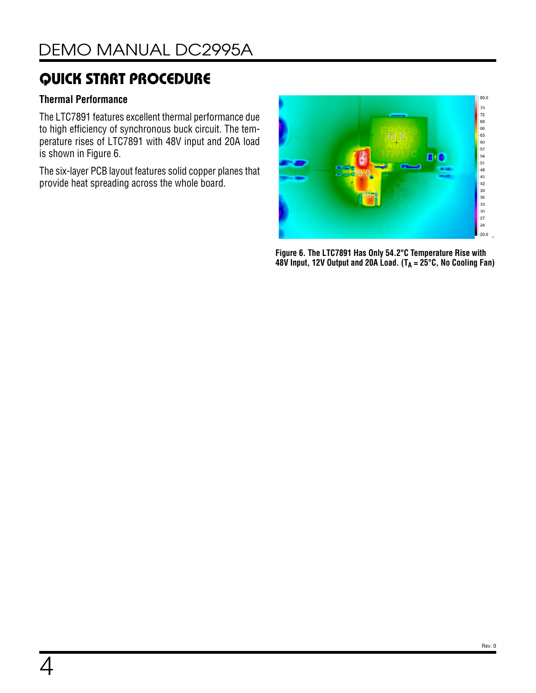## QUICK START PROCEDURE

### **Thermal Performance**

The LTC7891 features excellent thermal performance due to high efficiency of synchronous buck circuit. The temperature rises of LTC7891 with 48V input and 20A load is shown in [Figure 6.](#page-3-0)

The six-layer PCB layout features solid copper planes that provide heat spreading across the whole board.

<span id="page-3-0"></span>

**Figure 6. The LTC7891 Has Only 54.2°C Temperature Rise with 48V Input, 12V Output and 20A Load. (TA = 25°C, No Cooling Fan)**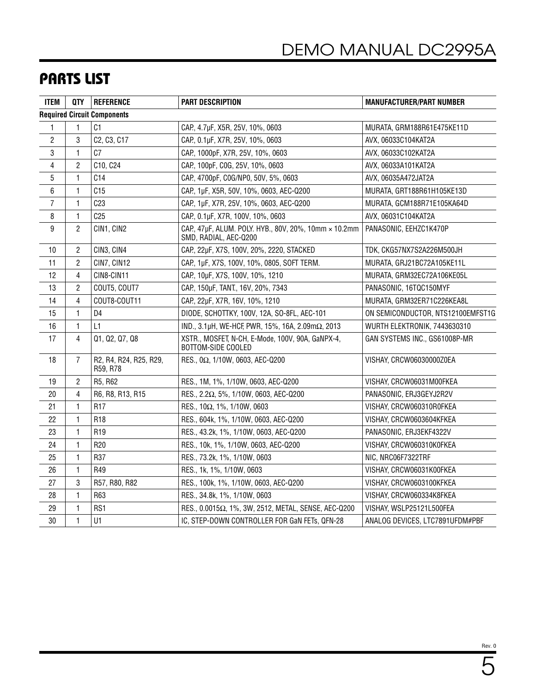### PARTS LIST

| <b>ITEM</b>    | <b>QTY</b>     | <b>REFERENCE</b>                   | <b>PART DESCRIPTION</b>                                                        | <b>MANUFACTURER/PART NUMBER</b>   |  |
|----------------|----------------|------------------------------------|--------------------------------------------------------------------------------|-----------------------------------|--|
|                |                | <b>Required Circuit Components</b> |                                                                                |                                   |  |
| 1              | 1              | C <sub>1</sub>                     | CAP., 4.7µF, X5R, 25V, 10%, 0603                                               | MURATA, GRM188R61E475KE11D        |  |
| $\overline{c}$ | 3              | C2, C3, C17                        | CAP., 0.1µF, X7R, 25V, 10%, 0603                                               | AVX, 06033C104KAT2A               |  |
| 3              | 1              | C7                                 | CAP, 1000pF, X7R, 25V, 10%, 0603                                               | AVX, 06033C102KAT2A               |  |
| 4              | 2              | C10, C24                           | CAP., 100pF, COG, 25V, 10%, 0603                                               | AVX, 06033A101KAT2A               |  |
| $\sqrt{5}$     | 1              | C14                                | CAP., 4700pF, COG/NP0, 50V, 5%, 0603                                           | AVX, 06035A472JAT2A               |  |
| 6              | 1              | C15                                | CAP., 1µF, X5R, 50V, 10%, 0603, AEC-Q200                                       | MURATA, GRT188R61H105KE13D        |  |
| 7              | 1              | C <sub>23</sub>                    | CAP, 1µF, X7R, 25V, 10%, 0603, AEC-Q200                                        | MURATA, GCM188R71E105KA64D        |  |
| 8              | $\mathbf{1}$   | C <sub>25</sub>                    | CAP, 0.1µF, X7R, 100V, 10%, 0603                                               | AVX, 06031C104KAT2A               |  |
| 9              | $\overline{c}$ | CIN1, CIN2                         | CAP., 47µF, ALUM. POLY. HYB., 80V, 20%, 10mm × 10.2mm<br>SMD, RADIAL, AEC-Q200 | PANASONIC, EEHZC1K470P            |  |
| 10             | $\overline{c}$ | CIN3, CIN4                         | CAP., 22µF, X7S, 100V, 20%, 2220, STACKED                                      | TDK, CKG57NX7S2A226M500JH         |  |
| 11             | $\overline{c}$ | CIN7, CIN12                        | CAP., 1µF, X7S, 100V, 10%, 0805, SOFT TERM.                                    | MURATA, GRJ21BC72A105KE11L        |  |
| 12             | 4              | CIN8-CIN11                         | CAP., 10µF, X7S, 100V, 10%, 1210                                               | MURATA, GRM32EC72A106KE05L        |  |
| 13             | $\overline{c}$ | COUT5, COUT7                       | CAP, 150µF, TANT., 16V, 20%, 7343                                              | PANASONIC, 16TQC150MYF            |  |
| 14             | 4              | COUT8-COUT11                       | CAP., 22µF, X7R, 16V, 10%, 1210                                                | MURATA, GRM32ER71C226KEA8L        |  |
| 15             | 1              | D <sub>4</sub>                     | DIODE, SCHOTTKY, 100V, 12A, SO-8FL, AEC-101                                    | ON SEMICONDUCTOR, NTS12100EMFST1G |  |
| 16             | 1              | L1                                 | IND., 3.1μH, WE-HCF, PWR, 15%, 16A, 2.09mΩ, 2013                               | WURTH ELEKTRONIK, 7443630310      |  |
| 17             | 4              | Q1, Q2, Q7, Q8                     | XSTR., MOSFET, N-CH, E-Mode, 100V, 90A, GaNPX-4,<br>BOTTOM-SIDE COOLED         | GAN SYSTEMS INC., GS61008P-MR     |  |
| 18             | $\overline{7}$ | R2, R4, R24, R25, R29,<br>R59, R78 | RES., 0Ω, 1/10W, 0603, AEC-Q200                                                | VISHAY, CRCW06030000Z0EA          |  |
| 19             | 2              | R5, R62                            | RES., 1M, 1%, 1/10W, 0603, AEC-Q200                                            | VISHAY, CRCW06031M00FKEA          |  |
| 20             | 4              | R6, R8, R13, R15                   | RES., 2.2Ω, 5%, 1/10W, 0603, AEC-Q200                                          | PANASONIC, ERJ3GEYJ2R2V           |  |
| 21             | 1              | R <sub>17</sub>                    | RES., 10Ω, 1%, 1/10W, 0603                                                     | VISHAY, CRCW060310R0FKEA          |  |
| 22             | 1              | R <sub>18</sub>                    | RES., 604k, 1%, 1/10W, 0603, AEC-Q200                                          | VISHAY, CRCW0603604KFKEA          |  |
| 23             | $\mathbf{1}$   | R <sub>19</sub>                    | RES., 43.2k, 1%, 1/10W, 0603, AEC-Q200                                         | PANASONIC, ERJ3EKF4322V           |  |
| 24             | $\mathbf{1}$   | R <sub>20</sub>                    | RES., 10k, 1%, 1/10W, 0603, AEC-Q200                                           | VISHAY, CRCW060310K0FKEA          |  |
| 25             | 1              | R37                                | RES., 73.2k, 1%, 1/10W, 0603                                                   | NIC, NRC06F7322TRF                |  |
| 26             | 1              | R49                                | RES., 1k, 1%, 1/10W, 0603                                                      | VISHAY, CRCW06031K00FKEA          |  |
| 27             | 3              | R57, R80, R82                      | RES., 100k, 1%, 1/10W, 0603, AEC-Q200                                          | VISHAY, CRCW0603100KFKEA          |  |
| 28             | 1              | R63                                | RES., 34.8k, 1%, 1/10W, 0603                                                   | VISHAY, CRCW060334K8FKEA          |  |
| 29             | 1              | RS1                                | RES., 0.0015Ω, 1%, 3W, 2512, METAL, SENSE, AEC-Q200                            | VISHAY, WSLP25121L500FEA          |  |
| 30             | $\mathbf{1}$   | U1                                 | IC, STEP-DOWN CONTROLLER FOR GaN FETs, QFN-28                                  | ANALOG DEVICES, LTC7891UFDM#PBF   |  |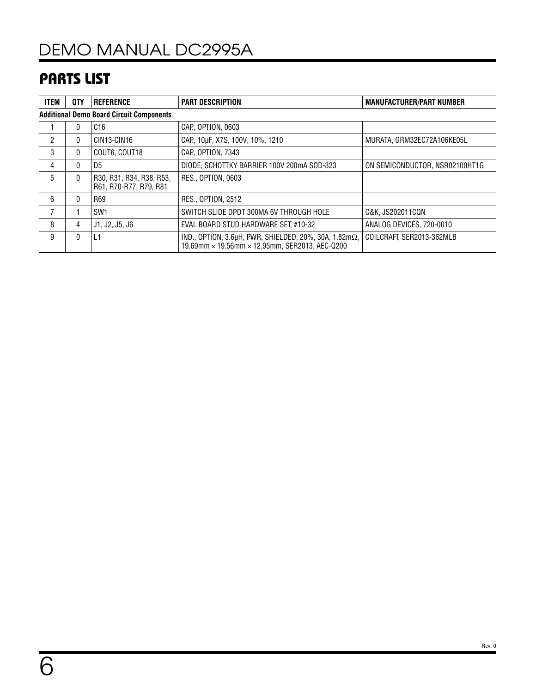## PARTS LIST

| <b>ITEM</b>   | 0TY                                             | <b>REFERENCE</b>                                   | <b>PART DESCRIPTION</b>                                                                                               | <b>MANUFACTURER/PART NUMBER</b> |  |  |  |  |  |  |
|---------------|-------------------------------------------------|----------------------------------------------------|-----------------------------------------------------------------------------------------------------------------------|---------------------------------|--|--|--|--|--|--|
|               | <b>Additional Demo Board Circuit Components</b> |                                                    |                                                                                                                       |                                 |  |  |  |  |  |  |
|               | $\mathbf{0}$                                    | C <sub>16</sub>                                    | CAP. OPTION. 0603                                                                                                     |                                 |  |  |  |  |  |  |
| $\mathcal{P}$ | 0                                               | CIN13-CIN16                                        | CAP, 10µF, X7S, 100V, 10%, 1210                                                                                       | MURATA, GRM32EC72A106KE05L      |  |  |  |  |  |  |
| 3             | $\mathbf{0}$                                    | COUT6, COUT18                                      | CAP. OPTION. 7343                                                                                                     |                                 |  |  |  |  |  |  |
| 4             | $\mathbf{0}$                                    | D5                                                 | DIODE, SCHOTTKY BARRIER 100V 200mA SOD-323                                                                            | ON SEMICONDUCTOR, NSR02100HT1G  |  |  |  |  |  |  |
| 5             | $\mathbf{0}$                                    | R30, R31, R34, R38, R53,<br>R61, R70-R77, R79, R81 | RES., OPTION, 0603                                                                                                    |                                 |  |  |  |  |  |  |
| 6             | $\Omega$                                        | R69                                                | <b>RES., OPTION, 2512</b>                                                                                             |                                 |  |  |  |  |  |  |
|               |                                                 | SW <sub>1</sub>                                    | SWITCH SLIDE DPDT 300MA 6V THROUGH HOLE                                                                               | C&K. JS202011CQN                |  |  |  |  |  |  |
| 8             | 4                                               | J1, J2, J5, J6                                     | EVAL BOARD STUD HARDWARE SET #10-32                                                                                   | ANALOG DEVICES, 720-0010        |  |  |  |  |  |  |
| 9             | 0                                               | L1                                                 | IND., OPTION, $3.6\mu$ H, PWR, SHIELDED, 20%, 30A, 1.82m $\Omega$ ,<br>19.69mm × 19.56mm × 12.95mm, SER2013, AEC-Q200 | COILCRAFT, SER2013-362MLB       |  |  |  |  |  |  |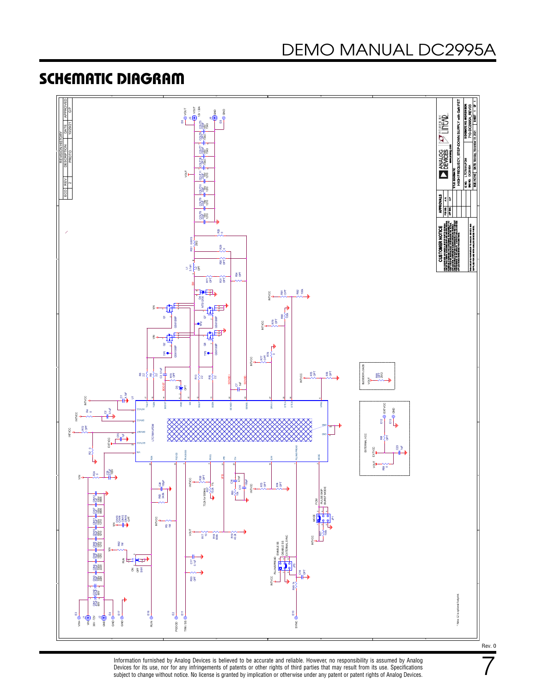### <span id="page-6-0"></span>SCHEMATIC DIAGRAM



Information furnished by Analog Devices is believed to be accurate and reliable. However, no responsibility is assumed by Analog Devices for its use, nor for any infringements of patents or other rights of third parties that may result from its use. Specifications<br>subject to change without notice. No license is granted by implication or otherwise un 7